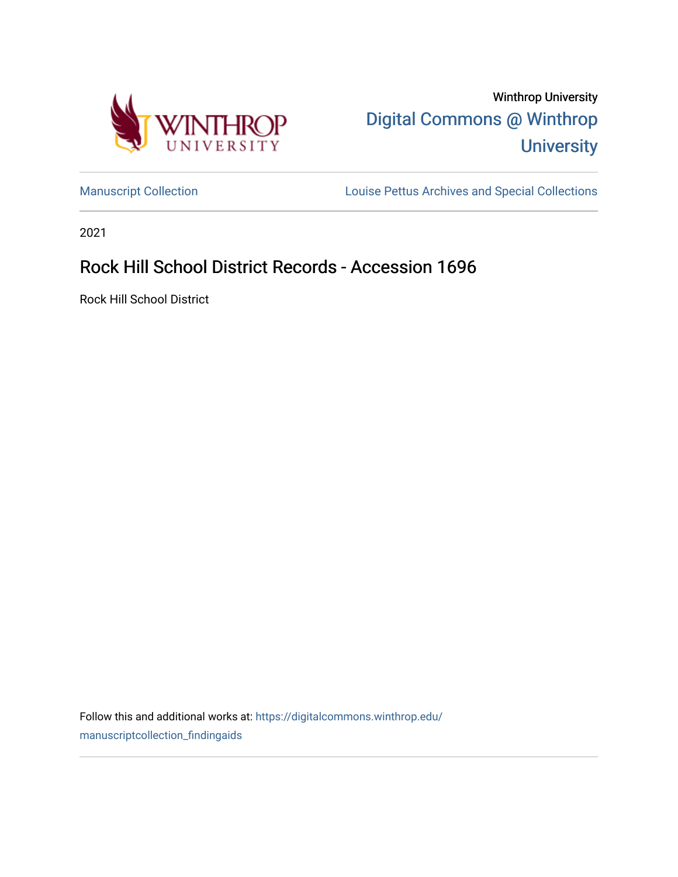

Winthrop University [Digital Commons @ Winthrop](https://digitalcommons.winthrop.edu/)  **University** 

[Manuscript Collection](https://digitalcommons.winthrop.edu/manuscriptcollection_findingaids) **Louise Pettus Archives and Special Collections** 

2021

# Rock Hill School District Records - Accession 1696

Rock Hill School District

Follow this and additional works at: [https://digitalcommons.winthrop.edu/](https://digitalcommons.winthrop.edu/manuscriptcollection_findingaids?utm_source=digitalcommons.winthrop.edu%2Fmanuscriptcollection_findingaids%2F1288&utm_medium=PDF&utm_campaign=PDFCoverPages) [manuscriptcollection\\_findingaids](https://digitalcommons.winthrop.edu/manuscriptcollection_findingaids?utm_source=digitalcommons.winthrop.edu%2Fmanuscriptcollection_findingaids%2F1288&utm_medium=PDF&utm_campaign=PDFCoverPages)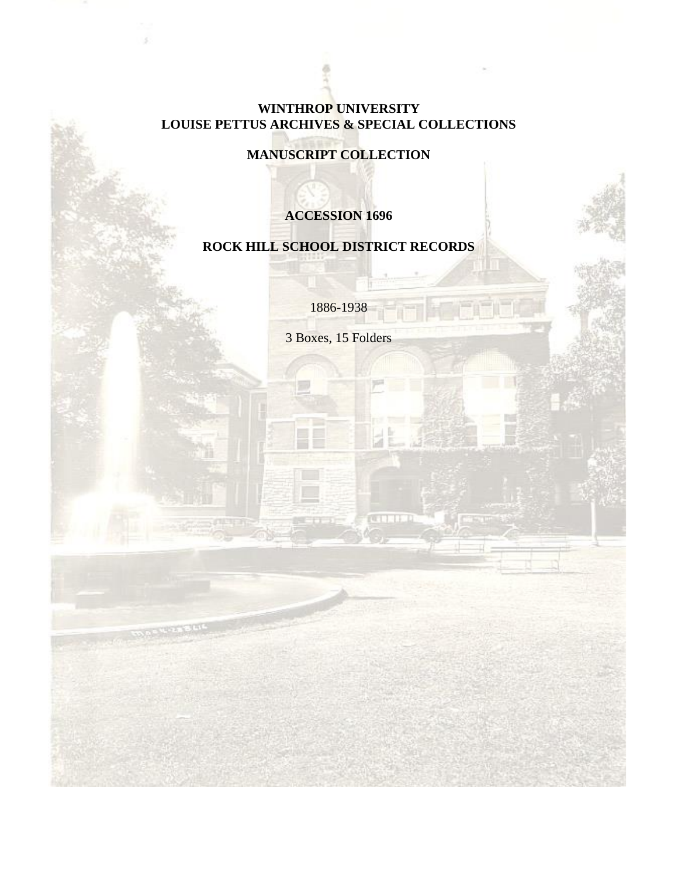#### **WINTHROP UNIVERSITY LOUISE PETTUS ARCHIVES & SPECIAL COLLECTIONS**

## **MANUSCRIPT COLLECTION**

## **ACCESSION 1696**

## **ROCK HILL SCHOOL DISTRICT RECORDS**

1886-1938

3 Boxes, 15 Folders

**COLLER**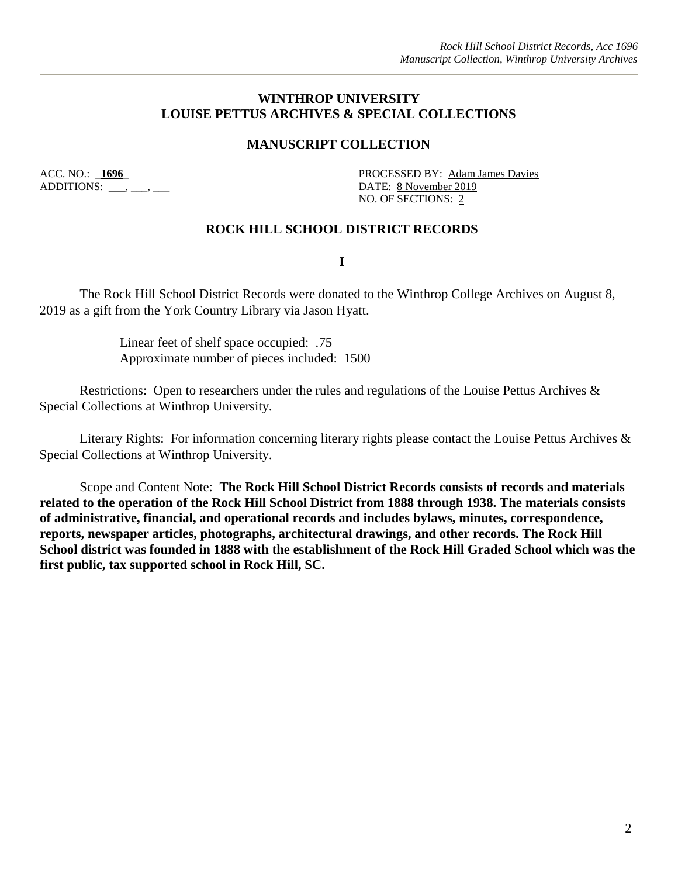#### **WINTHROP UNIVERSITY LOUISE PETTUS ARCHIVES & SPECIAL COLLECTIONS**

#### **MANUSCRIPT COLLECTION**

ADDITIONS: \_\_\_, \_\_\_, \_\_\_

ACC. NO.: **\_1696\_** PROCESSED BY: Adam James Davies NO. OF SECTIONS: 2

#### **ROCK HILL SCHOOL DISTRICT RECORDS**

**I** 

The Rock Hill School District Records were donated to the Winthrop College Archives on August 8, 2019 as a gift from the York Country Library via Jason Hyatt.

> Linear feet of shelf space occupied: .75 Approximate number of pieces included: 1500

Restrictions: Open to researchers under the rules and regulations of the Louise Pettus Archives & Special Collections at Winthrop University.

Literary Rights: For information concerning literary rights please contact the Louise Pettus Archives & Special Collections at Winthrop University.

Scope and Content Note: **The Rock Hill School District Records consists of records and materials related to the operation of the Rock Hill School District from 1888 through 1938. The materials consists of administrative, financial, and operational records and includes bylaws, minutes, correspondence, reports, newspaper articles, photographs, architectural drawings, and other records. The Rock Hill School district was founded in 1888 with the establishment of the Rock Hill Graded School which was the first public, tax supported school in Rock Hill, SC.**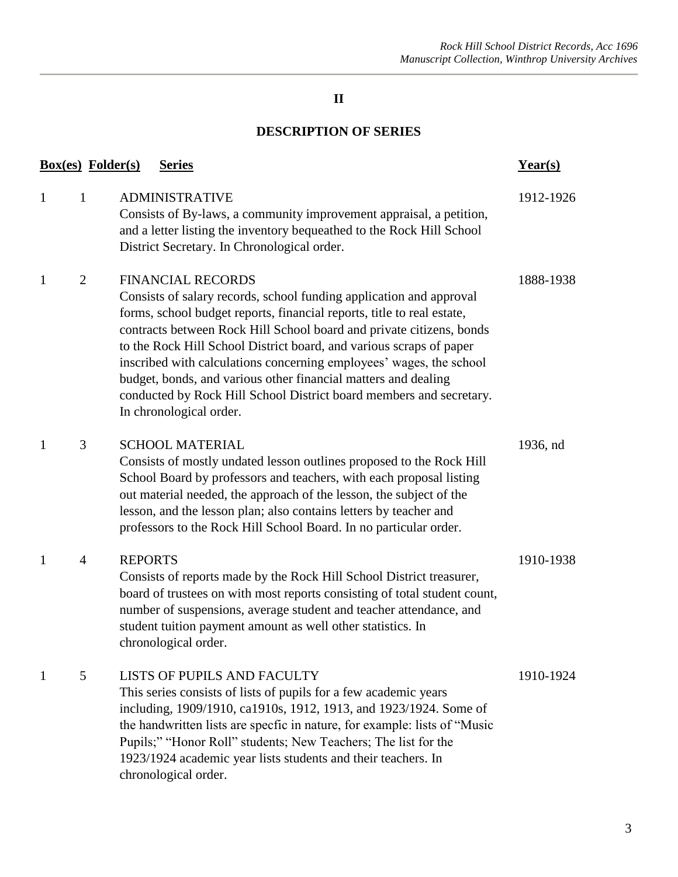## **II**

## **DESCRIPTION OF SERIES**

| <b>Box(es)</b> Folder(s) |                | <b>Series</b>                                                                                                                                                                                                                                                                                                                                                                                                                                                                                                                                                       | Year(s)   |
|--------------------------|----------------|---------------------------------------------------------------------------------------------------------------------------------------------------------------------------------------------------------------------------------------------------------------------------------------------------------------------------------------------------------------------------------------------------------------------------------------------------------------------------------------------------------------------------------------------------------------------|-----------|
| $\mathbf{1}$             | $\mathbf{1}$   | <b>ADMINISTRATIVE</b><br>Consists of By-laws, a community improvement appraisal, a petition,<br>and a letter listing the inventory bequeathed to the Rock Hill School<br>District Secretary. In Chronological order.                                                                                                                                                                                                                                                                                                                                                | 1912-1926 |
| $\mathbf{1}$             | $\overline{2}$ | <b>FINANCIAL RECORDS</b><br>Consists of salary records, school funding application and approval<br>forms, school budget reports, financial reports, title to real estate,<br>contracts between Rock Hill School board and private citizens, bonds<br>to the Rock Hill School District board, and various scraps of paper<br>inscribed with calculations concerning employees' wages, the school<br>budget, bonds, and various other financial matters and dealing<br>conducted by Rock Hill School District board members and secretary.<br>In chronological order. | 1888-1938 |
| $\mathbf{1}$             | 3              | <b>SCHOOL MATERIAL</b><br>Consists of mostly undated lesson outlines proposed to the Rock Hill<br>School Board by professors and teachers, with each proposal listing<br>out material needed, the approach of the lesson, the subject of the<br>lesson, and the lesson plan; also contains letters by teacher and<br>professors to the Rock Hill School Board. In no particular order.                                                                                                                                                                              | 1936, nd  |
| $\mathbf{1}$             | $\overline{4}$ | <b>REPORTS</b><br>Consists of reports made by the Rock Hill School District treasurer,<br>board of trustees on with most reports consisting of total student count,<br>number of suspensions, average student and teacher attendance, and<br>student tuition payment amount as well other statistics. In<br>chronological order.                                                                                                                                                                                                                                    | 1910-1938 |
| $\mathbf{1}$             | 5              | LISTS OF PUPILS AND FACULTY<br>This series consists of lists of pupils for a few academic years<br>including, 1909/1910, ca1910s, 1912, 1913, and 1923/1924. Some of<br>the handwritten lists are specfic in nature, for example: lists of "Music<br>Pupils;" "Honor Roll" students; New Teachers; The list for the<br>1923/1924 academic year lists students and their teachers. In<br>chronological order.                                                                                                                                                        | 1910-1924 |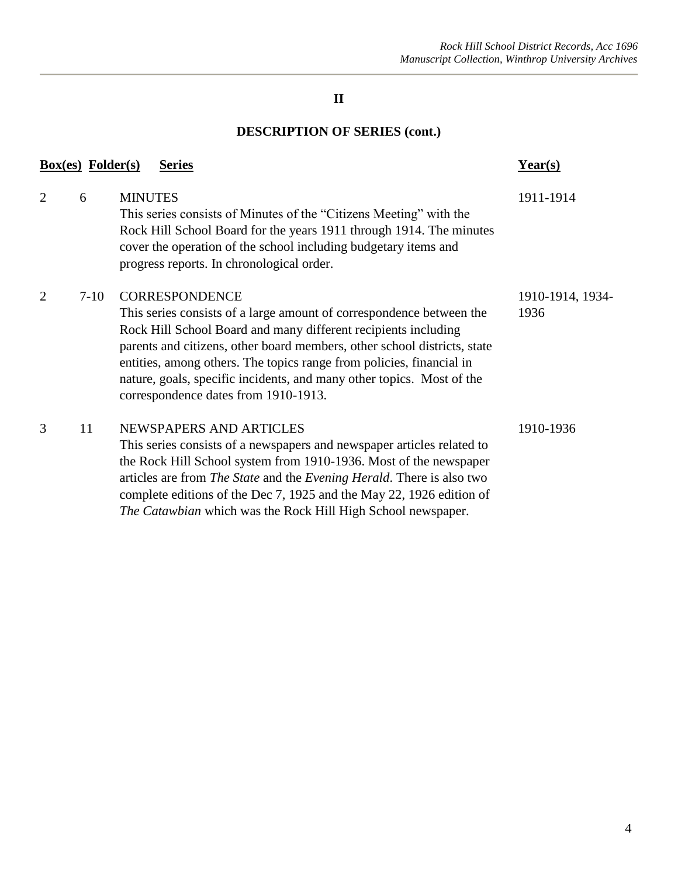## **II**

## **DESCRIPTION OF SERIES (cont.)**

|                | $Box(es)$ Folder(s) | <b>Series</b>                                                                                                                                                                                                                                                                                                                                                                                                                        | Year(s)                  |
|----------------|---------------------|--------------------------------------------------------------------------------------------------------------------------------------------------------------------------------------------------------------------------------------------------------------------------------------------------------------------------------------------------------------------------------------------------------------------------------------|--------------------------|
| 2              | 6                   | <b>MINUTES</b><br>This series consists of Minutes of the "Citizens Meeting" with the<br>Rock Hill School Board for the years 1911 through 1914. The minutes<br>cover the operation of the school including budgetary items and<br>progress reports. In chronological order.                                                                                                                                                          | 1911-1914                |
| $\overline{2}$ | $7-10$              | <b>CORRESPONDENCE</b><br>This series consists of a large amount of correspondence between the<br>Rock Hill School Board and many different recipients including<br>parents and citizens, other board members, other school districts, state<br>entities, among others. The topics range from policies, financial in<br>nature, goals, specific incidents, and many other topics. Most of the<br>correspondence dates from 1910-1913. | 1910-1914, 1934-<br>1936 |
| 3              | 11                  | NEWSPAPERS AND ARTICLES<br>This series consists of a newspapers and newspaper articles related to<br>the Rock Hill School system from 1910-1936. Most of the newspaper<br>articles are from The State and the Evening Herald. There is also two<br>complete editions of the Dec 7, 1925 and the May 22, 1926 edition of<br>The Catawbian which was the Rock Hill High School newspaper.                                              | 1910-1936                |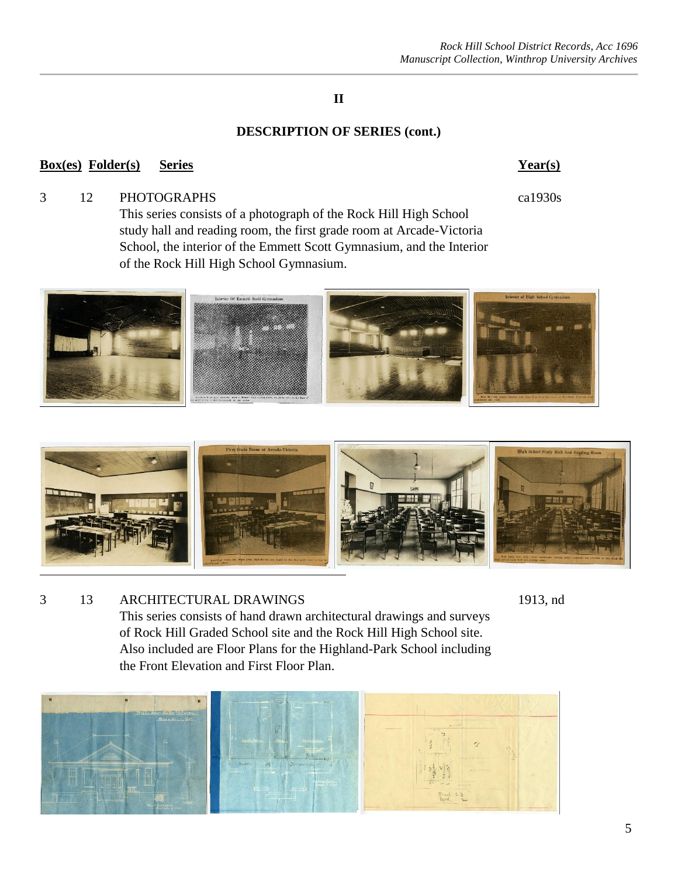#### *Rock Hill School District Records, Acc 1696 Manuscript Collection, Winthrop University Archives*

## **II**

#### **DESCRIPTION OF SERIES (cont.)**

#### **Box(es) Folder(s) Series Year(s)**

#### 3 12 PHOTOGRAPHS ca1930s

This series consists of a photograph of the Rock Hill High School study hall and reading room, the first grade room at Arcade-Victoria School, the interior of the Emmett Scott Gymnasium, and the Interior of the Rock Hill High School Gymnasium.





3 13 ARCHITECTURAL DRAWINGS 1913, nd This series consists of hand drawn architectural drawings and surveys of Rock Hill Graded School site and the Rock Hill High School site. Also included are Floor Plans for the Highland-Park School including the Front Elevation and First Floor Plan.